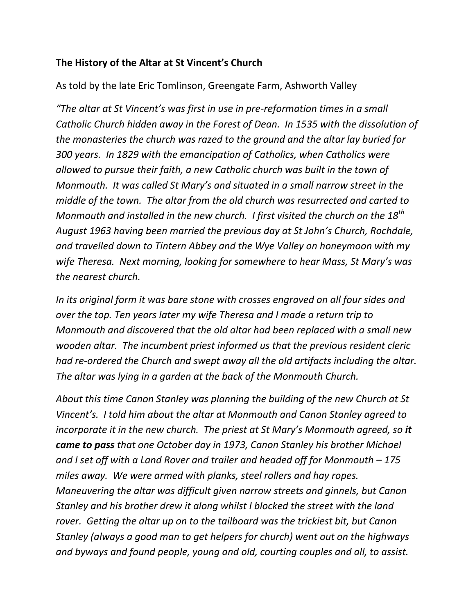## **The History of the Altar at St Vincent's Church**

As told by the late Eric Tomlinson, Greengate Farm, Ashworth Valley

*"The altar at St Vincent's was first in use in pre-reformation times in a small Catholic Church hidden away in the Forest of Dean. In 1535 with the dissolution of the monasteries the church was razed to the ground and the altar lay buried for 300 years. In 1829 with the emancipation of Catholics, when Catholics were allowed to pursue their faith, a new Catholic church was built in the town of Monmouth. It was called St Mary's and situated in a small narrow street in the middle of the town. The altar from the old church was resurrected and carted to Monmouth and installed in the new church. I first visited the church on the 18th August 1963 having been married the previous day at St John's Church, Rochdale, and travelled down to Tintern Abbey and the Wye Valley on honeymoon with my wife Theresa. Next morning, looking for somewhere to hear Mass, St Mary's was the nearest church.*

*In its original form it was bare stone with crosses engraved on all four sides and over the top. Ten years later my wife Theresa and I made a return trip to Monmouth and discovered that the old altar had been replaced with a small new wooden altar. The incumbent priest informed us that the previous resident cleric had re-ordered the Church and swept away all the old artifacts including the altar. The altar was lying in a garden at the back of the Monmouth Church.*

*About this time Canon Stanley was planning the building of the new Church at St Vincent's. I told him about the altar at Monmouth and Canon Stanley agreed to incorporate it in the new church. The priest at St Mary's Monmouth agreed, so it came to pass that one October day in 1973, Canon Stanley his brother Michael and I set off with a Land Rover and trailer and headed off for Monmouth – 175 miles away. We were armed with planks, steel rollers and hay ropes. Maneuvering the altar was difficult given narrow streets and ginnels, but Canon Stanley and his brother drew it along whilst I blocked the street with the land rover. Getting the altar up on to the tailboard was the trickiest bit, but Canon Stanley (always a good man to get helpers for church) went out on the highways and byways and found people, young and old, courting couples and all, to assist.*